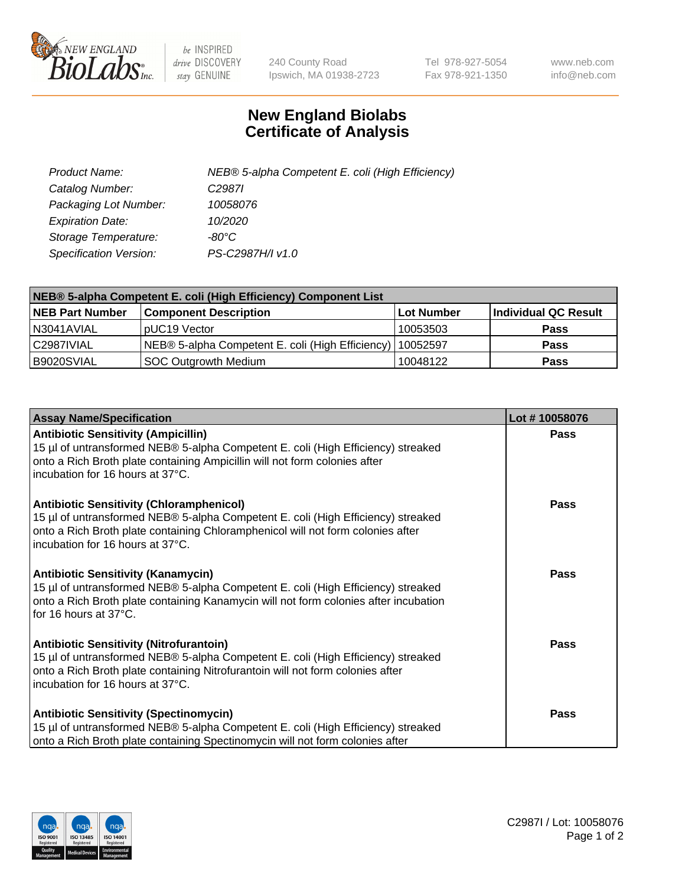

 $be$  INSPIRED drive DISCOVERY stay GENUINE

240 County Road Ipswich, MA 01938-2723 Tel 978-927-5054 Fax 978-921-1350 www.neb.com info@neb.com

## **New England Biolabs Certificate of Analysis**

| Product Name:           | NEB® 5-alpha Competent E. coli (High Efficiency) |
|-------------------------|--------------------------------------------------|
| Catalog Number:         | C <sub>2987</sub>                                |
| Packaging Lot Number:   | 10058076                                         |
| <b>Expiration Date:</b> | 10/2020                                          |
| Storage Temperature:    | -80°C                                            |
| Specification Version:  | PS-C2987H/I v1.0                                 |

| NEB® 5-alpha Competent E. coli (High Efficiency) Component List |                                                             |                   |                      |  |
|-----------------------------------------------------------------|-------------------------------------------------------------|-------------------|----------------------|--|
| <b>NEB Part Number</b>                                          | <b>Component Description</b>                                | <b>Lot Number</b> | Individual QC Result |  |
| N3041AVIAL                                                      | pUC19 Vector                                                | 10053503          | <b>Pass</b>          |  |
| C2987IVIAL                                                      | NEB® 5-alpha Competent E. coli (High Efficiency)   10052597 |                   | <b>Pass</b>          |  |
| B9020SVIAL                                                      | SOC Outgrowth Medium                                        | 10048122          | <b>Pass</b>          |  |

| <b>Assay Name/Specification</b>                                                                                                                                                                                                                            | Lot #10058076 |
|------------------------------------------------------------------------------------------------------------------------------------------------------------------------------------------------------------------------------------------------------------|---------------|
| <b>Antibiotic Sensitivity (Ampicillin)</b><br>15 µl of untransformed NEB® 5-alpha Competent E. coli (High Efficiency) streaked<br>onto a Rich Broth plate containing Ampicillin will not form colonies after<br>incubation for 16 hours at 37°C.           | <b>Pass</b>   |
| <b>Antibiotic Sensitivity (Chloramphenicol)</b><br>15 µl of untransformed NEB® 5-alpha Competent E. coli (High Efficiency) streaked<br>onto a Rich Broth plate containing Chloramphenicol will not form colonies after<br>incubation for 16 hours at 37°C. | <b>Pass</b>   |
| <b>Antibiotic Sensitivity (Kanamycin)</b><br>15 µl of untransformed NEB® 5-alpha Competent E. coli (High Efficiency) streaked<br>onto a Rich Broth plate containing Kanamycin will not form colonies after incubation<br>for 16 hours at 37°C.             | Pass          |
| <b>Antibiotic Sensitivity (Nitrofurantoin)</b><br>15 µl of untransformed NEB® 5-alpha Competent E. coli (High Efficiency) streaked<br>onto a Rich Broth plate containing Nitrofurantoin will not form colonies after<br>incubation for 16 hours at 37°C.   | Pass          |
| <b>Antibiotic Sensitivity (Spectinomycin)</b><br>15 µl of untransformed NEB® 5-alpha Competent E. coli (High Efficiency) streaked<br>onto a Rich Broth plate containing Spectinomycin will not form colonies after                                         | Pass          |